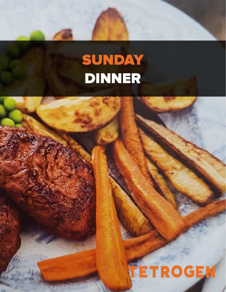## SUNDAY Dinner

[Tetrogen:](https://tetrogenusa.com/) Sunday - Dinner and Dinner and Dinner and Dinner and Dinner and Dinner and Dinner and Dinner and Dinner and Dinner and Dinner and Dinner and Dinner and Dinner and Dinner and Dinner and Dinner and Dinner and Dinne

# **TETROGEN**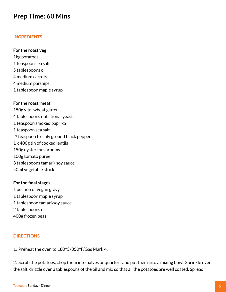### **Prep Time: 60 Mins**

#### **Ingredients**

#### **For the roast veg**

1kg potatoes 1 teaspoon sea salt 5 tablespoons oil 4 medium carrots 4 medium parsnips 1 tablespoon maple syrup

#### **For the roast 'meat'**

150g vital wheat gluten 4 tablespoons nutritional yeast 1 teaspoon smoked paprika 1 teaspoon sea salt 1/2 teaspoon freshly ground black pepper 1 x 400g tin of cooked lentils 150g oyster mushrooms 100g tomato purée 3 tablespoons tamari/ soy sauce 50ml vegetable stock

#### **For the final stages**

1 portion of vegan gravy 1 tablespoon maple syrup 1 tablespoon tamari/soy sauce 2 tablespoons oil 400g frozen peas

#### **Directions**

1. Preheat the oven to 180°C/350°F/Gas Mark 4.

2. Scrub the potatoes, chop them into halves or quarters and put them into a mixing bowl. Sprinkle over the salt, drizzle over 3 tablespoons of the oil and mix so that all the potatoes are well coated. Spread